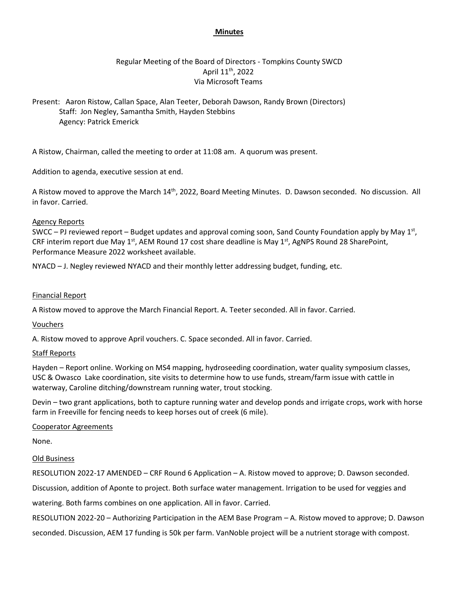### **Minutes**

# Regular Meeting of the Board of Directors - Tompkins County SWCD April 11<sup>th</sup>, 2022 Via Microsoft Teams

Present: Aaron Ristow, Callan Space, Alan Teeter, Deborah Dawson, Randy Brown (Directors) Staff: Jon Negley, Samantha Smith, Hayden Stebbins Agency: Patrick Emerick

A Ristow, Chairman, called the meeting to order at 11:08 am. A quorum was present.

Addition to agenda, executive session at end.

A Ristow moved to approve the March 14<sup>th</sup>, 2022, Board Meeting Minutes. D. Dawson seconded. No discussion. All in favor. Carried.

### Agency Reports

SWCC  $-$  PJ reviewed report  $-$  Budget updates and approval coming soon, Sand County Foundation apply by May 1st, CRF interim report due May 1<sup>st</sup>, AEM Round 17 cost share deadline is May 1<sup>st</sup>, AgNPS Round 28 SharePoint, Performance Measure 2022 worksheet available.

NYACD – J. Negley reviewed NYACD and their monthly letter addressing budget, funding, etc.

### Financial Report

A Ristow moved to approve the March Financial Report. A. Teeter seconded. All in favor. Carried.

### Vouchers

A. Ristow moved to approve April vouchers. C. Space seconded. All in favor. Carried.

### Staff Reports

Hayden – Report online. Working on MS4 mapping, hydroseeding coordination, water quality symposium classes, USC & Owasco Lake coordination, site visits to determine how to use funds, stream/farm issue with cattle in waterway, Caroline ditching/downstream running water, trout stocking.

Devin – two grant applications, both to capture running water and develop ponds and irrigate crops, work with horse farm in Freeville for fencing needs to keep horses out of creek (6 mile).

### Cooperator Agreements

None.

#### Old Business

RESOLUTION 2022-17 AMENDED – CRF Round 6 Application – A. Ristow moved to approve; D. Dawson seconded.

Discussion, addition of Aponte to project. Both surface water management. Irrigation to be used for veggies and

watering. Both farms combines on one application. All in favor. Carried.

RESOLUTION 2022-20 – Authorizing Participation in the AEM Base Program – A. Ristow moved to approve; D. Dawson seconded. Discussion, AEM 17 funding is 50k per farm. VanNoble project will be a nutrient storage with compost.